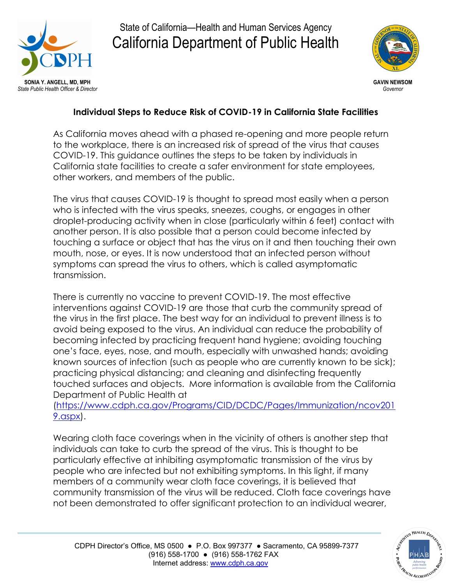

State of California—Health and Human Services Agency California Department of Public Health



## **Individual Steps to Reduce Risk of COVID-19 in California State Facilities**

As California moves ahead with a phased re-opening and more people return to the workplace, there is an increased risk of spread of the virus that causes COVID-19. This guidance outlines the steps to be taken by individuals in California state facilities to create a safer environment for state employees, other workers, and members of the public.

The virus that causes COVID-19 is thought to spread most easily when a person who is infected with the virus speaks, sneezes, coughs, or engages in other droplet-producing activity when in close (particularly within 6 feet) contact with another person. It is also possible that a person could become infected by touching a surface or object that has the virus on it and then touching their own mouth, nose, or eyes. It is now understood that an infected person without symptoms can spread the virus to others, which is called asymptomatic transmission.

There is currently no vaccine to prevent COVID-19. The most effective interventions against COVID-19 are those that curb the community spread of the virus in the first place. The best way for an individual to prevent illness is to avoid being exposed to the virus. An individual can reduce the probability of becoming infected by practicing frequent hand hygiene; avoiding touching one's face, eyes, nose, and mouth, especially with unwashed hands; avoiding known sources of infection (such as people who are currently known to be sick); practicing physical distancing; and cleaning and disinfecting frequently touched surfaces and objects. More information is available from the California Department of Public Health at

[\(https://www.cdph.ca.gov/Programs/CID/DCDC/Pages/Immunization/ncov201](https://www.cdph.ca.gov/Programs/CID/DCDC/Pages/Immunization/ncov2019.aspx) [9.aspx\)](https://www.cdph.ca.gov/Programs/CID/DCDC/Pages/Immunization/ncov2019.aspx).

Wearing cloth face coverings when in the vicinity of others is another step that individuals can take to curb the spread of the virus. This is thought to be particularly effective at inhibiting asymptomatic transmission of the virus by people who are infected but not exhibiting symptoms. In this light, if many members of a community wear cloth face coverings, it is believed that community transmission of the virus will be reduced. Cloth face coverings have not been demonstrated to offer significant protection to an individual wearer,



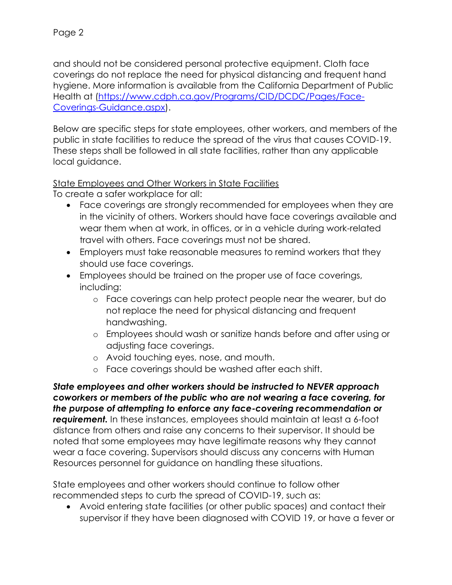and should not be considered personal protective equipment. Cloth face coverings do not replace the need for physical distancing and frequent hand hygiene. More information is available from the California Department of Public Health at [\(https://www.cdph.ca.gov/Programs/CID/DCDC/Pages/Face-](https://www.cdph.ca.gov/Programs/CID/DCDC/Pages/Face-Coverings-Guidance.aspx)[Coverings-Guidance.aspx\)](https://www.cdph.ca.gov/Programs/CID/DCDC/Pages/Face-Coverings-Guidance.aspx).

Below are specific steps for state employees, other workers, and members of the public in state facilities to reduce the spread of the virus that causes COVID-19. These steps shall be followed in all state facilities, rather than any applicable local guidance.

## State Employees and Other Workers in State Facilities

To create a safer workplace for all:

- · Face coverings are strongly recommended for employees when they are in the vicinity of others. Workers should have face coverings available and wear them when at work, in offices, or in a vehicle during work-related travel with others. Face coverings must not be shared.
- · Employers must take reasonable measures to remind workers that they should use face coverings.
- · Employees should be trained on the proper use of face coverings, including:
	- o Face coverings can help protect people near the wearer, but do not replace the need for physical distancing and frequent handwashing.
	- o Employees should wash or sanitize hands before and after using or adjusting face coverings.
	- o Avoid touching eyes, nose, and mouth.
	- o Face coverings should be washed after each shift.

*State employees and other workers should be instructed to NEVER approach coworkers or members of the public who are not wearing a face covering, for the purpose of attempting to enforce any face-covering recommendation or requirement.* In these instances, employees should maintain at least a 6-foot distance from others and raise any concerns to their supervisor. It should be noted that some employees may have legitimate reasons why they cannot wear a face covering. Supervisors should discuss any concerns with Human Resources personnel for guidance on handling these situations.

State employees and other workers should continue to follow other recommended steps to curb the spread of COVID-19, such as:

· Avoid entering state facilities (or other public spaces) and contact their supervisor if they have been diagnosed with COVID 19, or have a fever or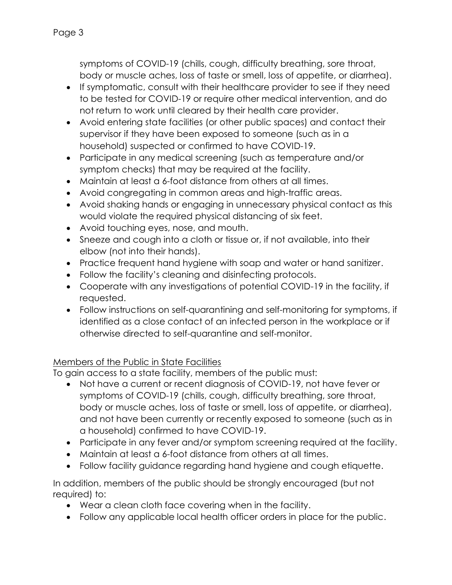symptoms of COVID-19 (chills, cough, difficulty breathing, sore throat, body or muscle aches, loss of taste or smell, loss of appetite, or diarrhea).

- · If symptomatic, consult with their healthcare provider to see if they need to be tested for COVID-19 or require other medical intervention, and do not return to work until cleared by their health care provider.
- · Avoid entering state facilities (or other public spaces) and contact their supervisor if they have been exposed to someone (such as in a household) suspected or confirmed to have COVID-19.
- · Participate in any medical screening (such as temperature and/or symptom checks) that may be required at the facility.
- · Maintain at least a 6-foot distance from others at all times.
- · Avoid congregating in common areas and high-traffic areas.
- · Avoid shaking hands or engaging in unnecessary physical contact as this would violate the required physical distancing of six feet.
- · Avoid touching eyes, nose, and mouth.
- · Sneeze and cough into a cloth or tissue or, if not available, into their elbow (not into their hands).
- · Practice frequent hand hygiene with soap and water or hand sanitizer.
- · Follow the facility's cleaning and disinfecting protocols.
- · Cooperate with any investigations of potential COVID-19 in the facility, if requested.
- · Follow instructions on self-quarantining and self-monitoring for symptoms, if identified as a close contact of an infected person in the workplace or if otherwise directed to self-quarantine and self-monitor.

## Members of the Public in State Facilities

To gain access to a state facility, members of the public must:

- · Not have a current or recent diagnosis of COVID-19, not have fever or symptoms of COVID-19 (chills, cough, difficulty breathing, sore throat, body or muscle aches, loss of taste or smell, loss of appetite, or diarrhea), and not have been currently or recently exposed to someone (such as in a household) confirmed to have COVID-19.
- · Participate in any fever and/or symptom screening required at the facility.
- · Maintain at least a 6-foot distance from others at all times.
- · Follow facility guidance regarding hand hygiene and cough etiquette.

In addition, members of the public should be strongly encouraged (but not required) to:

- · Wear a clean cloth face covering when in the facility.
- · Follow any applicable local health officer orders in place for the public.